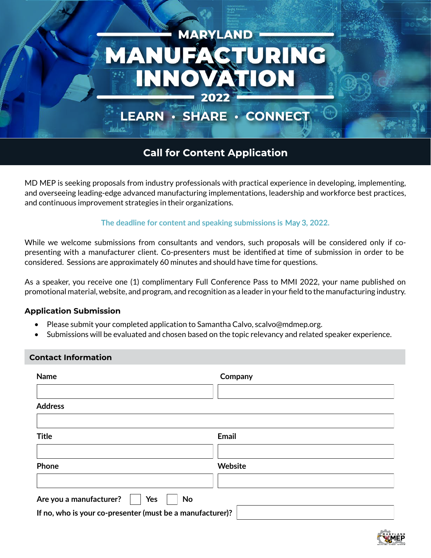

# LEARN · SHARE · CONNECT

# **Call for Content Application**

MD MEP is seeking proposals from industry professionals with practical experience in developing, implementing, and overseeing leading-edge advanced manufacturing implementations, leadership and workforce best practices, and continuous improvement strategies in their organizations.

## **The deadline for content and speaking submissions is** May 3**, 2022.**

While we welcome submissions from consultants and vendors, such proposals will be considered only if copresenting with a manufacturer client. Co-presenters must be identified at time of submission in order to be considered. Sessions are approximately 60 minutes and should have time for questions.

As a speaker, you receive one (1) complimentary Full Conference Pass to MMI 2022, your name published on promotional material, website, and program, and recognition as a leader in your field to the manufacturing industry.

## **Application Submission**

- Please submit your completed application to Samantha Calvo, scalvo@mdmep.org.
- Submissions will be evaluated and chosen based on the topic relevancy and related speaker experience.

#### **Contact Information**

| <b>Name</b>                                               | Company      |
|-----------------------------------------------------------|--------------|
|                                                           |              |
| <b>Address</b>                                            |              |
|                                                           |              |
| <b>Title</b>                                              | <b>Email</b> |
|                                                           |              |
| Phone                                                     | Website      |
|                                                           |              |
| Are you a manufacturer?<br>Yes<br>No                      |              |
| If no, who is your co-presenter (must be a manufacturer)? |              |